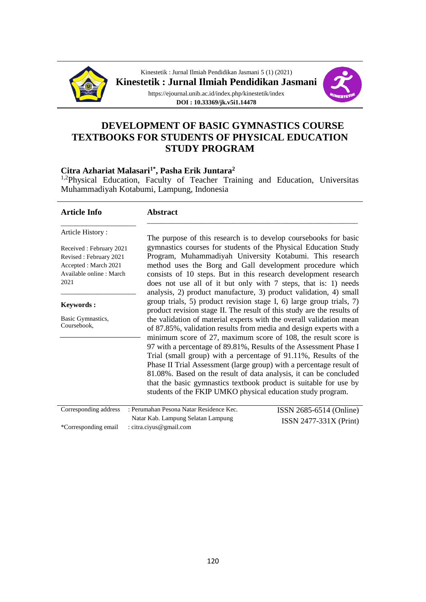

Kinestetik : Jurnal Ilmiah Pendidikan Jasmani 5 (1) (2021) **Kinestetik : Jurnal Ilmiah Pendidikan Jasmani**



https://ejournal.unib.ac.id/index.php/kinestetik/index **DOI : 10.33369/jk.v5i1.14478**

# **DEVELOPMENT OF BASIC GYMNASTICS COURSE TEXTBOOKS FOR STUDENTS OF PHYSICAL EDUCATION STUDY PROGRAM**

#### **Citra Azhariat Malasari1\* , Pasha Erik Juntara<sup>2</sup>**

<sup>1,2</sup>Physical Education, Faculty of Teacher Training and Education, Universitas Muhammadiyah Kotabumi, Lampung, Indonesia

| <b>Article Info</b>              | <b>Abstract</b>                                                                                                                                |
|----------------------------------|------------------------------------------------------------------------------------------------------------------------------------------------|
| Article History:                 | The purpose of this research is to develop coursebooks for basic                                                                               |
| Received: February 2021          | gymnastics courses for students of the Physical Education Study                                                                                |
| Revised: February 2021           | Program, Muhammadiyah University Kotabumi. This research                                                                                       |
| Accepted: March 2021             | method uses the Borg and Gall development procedure which                                                                                      |
| Available online : March         | consists of 10 steps. But in this research development research                                                                                |
| 2021                             | does not use all of it but only with 7 steps, that is: 1) needs                                                                                |
|                                  | analysis, 2) product manufacture, 3) product validation, 4) small                                                                              |
| <b>Keywords:</b>                 | group trials, 5) product revision stage I, 6) large group trials, 7)<br>product revision stage II. The result of this study are the results of |
| Basic Gymnastics,<br>Coursebook, | the validation of material experts with the overall validation mean                                                                            |
|                                  | of 87.85%, validation results from media and design experts with a                                                                             |
|                                  | minimum score of 27, maximum score of 108, the result score is                                                                                 |
|                                  | 97 with a percentage of 89.81%, Results of the Assessment Phase I                                                                              |
|                                  | Trial (small group) with a percentage of 91.11%, Results of the                                                                                |
|                                  | Phase II Trial Assessment (large group) with a percentage result of                                                                            |
|                                  | 81.08%. Based on the result of data analysis, it can be concluded                                                                              |
|                                  | that the basic gymnastics textbook product is suitable for use by                                                                              |
|                                  | students of the FKIP UMKO physical education study program.                                                                                    |
| Corresponding address            | : Perumahan Pesona Natar Residence Kec.<br>ISSN 2685-6514 (Online)                                                                             |

| Natar Kab. Lampung Selatan Lampung           | $ISSN 2477-331X (Print)$ |  |
|----------------------------------------------|--------------------------|--|
| *Corresponding email : citra.ciyus@gmail.com |                          |  |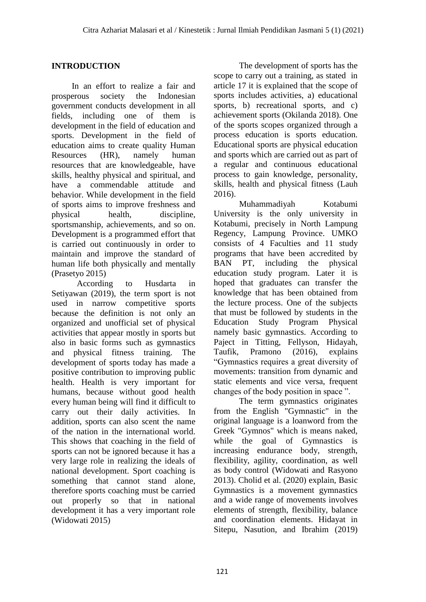## **INTRODUCTION**

In an effort to realize a fair and prosperous society the Indonesian government conducts development in all fields, including one of them is development in the field of education and sports. Development in the field of education aims to create quality Human Resources (HR), namely human resources that are knowledgeable, have skills, healthy physical and spiritual, and have a commendable attitude and behavior. While development in the field of sports aims to improve freshness and physical health, discipline, sportsmanship, achievements, and so on. Development is a programmed effort that is carried out continuously in order to maintain and improve the standard of human life both physically and mentally (Prasetyo 2015)

According to Husdarta in Setiyawan (2019), the term sport is not used in narrow competitive sports because the definition is not only an organized and unofficial set of physical activities that appear mostly in sports but also in basic forms such as gymnastics and physical fitness training. The development of sports today has made a positive contribution to improving public health. Health is very important for humans, because without good health every human being will find it difficult to carry out their daily activities. In addition, sports can also scent the name of the nation in the international world. This shows that coaching in the field of sports can not be ignored because it has a very large role in realizing the ideals of national development. Sport coaching is something that cannot stand alone, therefore sports coaching must be carried out properly so that in national development it has a very important role (Widowati 2015)

The development of sports has the scope to carry out a training, as stated in article 17 it is explained that the scope of sports includes activities, a) educational sports, b) recreational sports, and c) achievement sports (Okilanda 2018). One of the sports scopes organized through a process education is sports education. Educational sports are physical education and sports which are carried out as part of a regular and continuous educational process to gain knowledge, personality, skills, health and physical fitness (Lauh 2016).

Muhammadiyah Kotabumi University is the only university in Kotabumi, precisely in North Lampung Regency, Lampung Province. UMKO consists of 4 Faculties and 11 study programs that have been accredited by BAN PT, including the physical education study program. Later it is hoped that graduates can transfer the knowledge that has been obtained from the lecture process. One of the subjects that must be followed by students in the Education Study Program Physical namely basic gymnastics. According to Paject in Titting, Fellyson, Hidayah, Taufik, Pramono (2016), explains "Gymnastics requires a great diversity of movements: transition from dynamic and static elements and vice versa, frequent changes of the body position in space ".

The term gymnastics originates from the English "Gymnastic" in the original language is a loanword from the Greek "Gymnos" which is means naked, while the goal of Gymnastics is increasing endurance body, strength, flexibility, agility, coordination, as well as body control (Widowati and Rasyono 2013). Cholid et al. (2020) explain, Basic Gymnastics is a movement gymnastics and a wide range of movements involves elements of strength, flexibility, balance and coordination elements. Hidayat in Sitepu, Nasution, and Ibrahim (2019)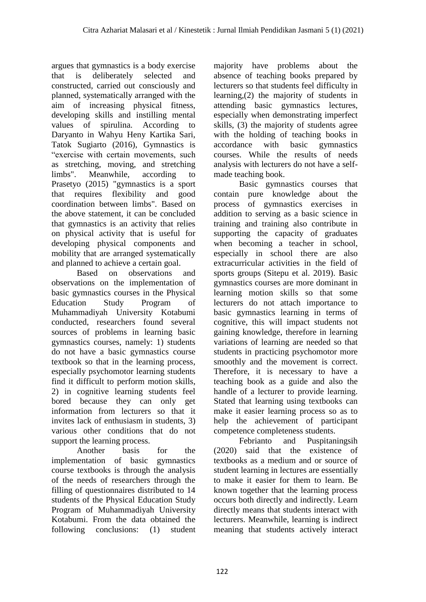argues that gymnastics is a body exercise that is deliberately selected and constructed, carried out consciously and planned, systematically arranged with the aim of increasing physical fitness, developing skills and instilling mental values of spirulina. According to Daryanto in Wahyu Heny Kartika Sari, Tatok Sugiarto (2016), Gymnastics is "exercise with certain movements, such as stretching, moving, and stretching limbs". Meanwhile, according to Prasetyo (2015) "gymnastics is a sport that requires flexibility and good coordination between limbs". Based on the above statement, it can be concluded that gymnastics is an activity that relies on physical activity that is useful for developing physical components and mobility that are arranged systematically and planned to achieve a certain goal.

Based on observations and observations on the implementation of basic gymnastics courses in the Physical Education Study Program of Muhammadiyah University Kotabumi conducted, researchers found several sources of problems in learning basic gymnastics courses, namely: 1) students do not have a basic gymnastics course textbook so that in the learning process, especially psychomotor learning students find it difficult to perform motion skills, 2) in cognitive learning students feel bored because they can only get information from lecturers so that it invites lack of enthusiasm in students, 3) various other conditions that do not support the learning process.

Another basis for the implementation of basic gymnastics course textbooks is through the analysis of the needs of researchers through the filling of questionnaires distributed to 14 students of the Physical Education Study Program of Muhammadiyah University Kotabumi. From the data obtained the following conclusions: (1) student majority have problems about the absence of teaching books prepared by lecturers so that students feel difficulty in learning,(2) the majority of students in attending basic gymnastics lectures, especially when demonstrating imperfect skills, (3) the majority of students agree with the holding of teaching books in accordance with basic gymnastics courses. While the results of needs analysis with lecturers do not have a selfmade teaching book.

Basic gymnastics courses that contain pure knowledge about the process of gymnastics exercises in addition to serving as a basic science in training and training also contribute in supporting the capacity of graduates when becoming a teacher in school, especially in school there are also extracurricular activities in the field of sports groups (Sitepu et al. 2019). Basic gymnastics courses are more dominant in learning motion skills so that some lecturers do not attach importance to basic gymnastics learning in terms of cognitive, this will impact students not gaining knowledge, therefore in learning variations of learning are needed so that students in practicing psychomotor more smoothly and the movement is correct. Therefore, it is necessary to have a teaching book as a guide and also the handle of a lecturer to provide learning. Stated that learning using textbooks can make it easier learning process so as to help the achievement of participant competence completeness students.

Febrianto and Puspitaningsih (2020) said that the existence of textbooks as a medium and or source of student learning in lectures are essentially to make it easier for them to learn. Be known together that the learning process occurs both directly and indirectly. Learn directly means that students interact with lecturers. Meanwhile, learning is indirect meaning that students actively interact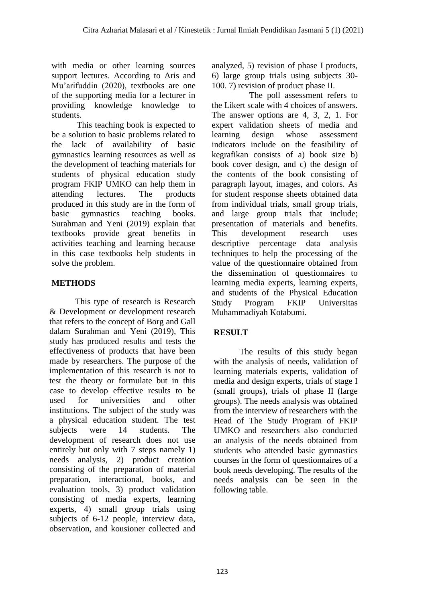with media or other learning sources support lectures. According to Aris and Mu'arifuddin (2020), textbooks are one of the supporting media for a lecturer in providing knowledge knowledge to students.

This teaching book is expected to be a solution to basic problems related to the lack of availability of basic gymnastics learning resources as well as the development of teaching materials for students of physical education study program FKIP UMKO can help them in attending lectures. The products produced in this study are in the form of basic gymnastics teaching books. Surahman and Yeni (2019) explain that textbooks provide great benefits in activities teaching and learning because in this case textbooks help students in solve the problem.

# **METHODS**

This type of research is Research & Development or development research that refers to the concept of Borg and Gall dalam Surahman and Yeni (2019), This study has produced results and tests the effectiveness of products that have been made by researchers. The purpose of the implementation of this research is not to test the theory or formulate but in this case to develop effective results to be used for universities and other institutions. The subject of the study was a physical education student. The test subjects were 14 students. The development of research does not use entirely but only with 7 steps namely 1) needs analysis, 2) product creation consisting of the preparation of material preparation, interactional, books, and evaluation tools, 3) product validation consisting of media experts, learning experts, 4) small group trials using subjects of 6-12 people, interview data, observation, and kousioner collected and

analyzed, 5) revision of phase I products, 6) large group trials using subjects 30- 100. 7) revision of product phase II.

The poll assessment refers to the Likert scale with 4 choices of answers. The answer options are 4, 3, 2, 1. For expert validation sheets of media and learning design whose assessment indicators include on the feasibility of kegrafikan consists of a) book size b) book cover design, and c) the design of the contents of the book consisting of paragraph layout, images, and colors. As for student response sheets obtained data from individual trials, small group trials, and large group trials that include; presentation of materials and benefits. This development research uses descriptive percentage data analysis techniques to help the processing of the value of the questionnaire obtained from the dissemination of questionnaires to learning media experts, learning experts, and students of the Physical Education Study Program FKIP Universitas Muhammadiyah Kotabumi.

# **RESULT**

The results of this study began with the analysis of needs, validation of learning materials experts, validation of media and design experts, trials of stage I (small groups), trials of phase II (large groups). The needs analysis was obtained from the interview of researchers with the Head of The Study Program of FKIP UMKO and researchers also conducted an analysis of the needs obtained from students who attended basic gymnastics courses in the form of questionnaires of a book needs developing. The results of the needs analysis can be seen in the following table.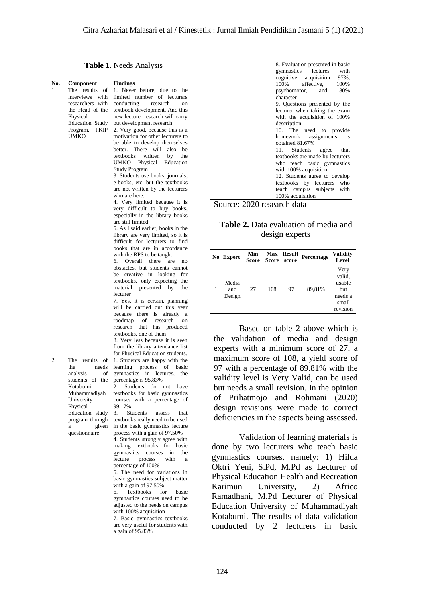8. Evaluation presented in basic<br>gymnastics lectures with gymnastics lectures

97%, 100% 80%

**Table 1.** Needs Analysis

| No. | Component                   | <b>Findings</b>                                                     | cognitive<br>acquisition<br>97%,<br>100%<br>affective,<br>100% |
|-----|-----------------------------|---------------------------------------------------------------------|----------------------------------------------------------------|
| 1.  | The results of              | 1. Never before, due to the                                         | 80%<br>psychomotor,<br>and                                     |
|     | interviews with             | limited number of lecturers                                         | character                                                      |
|     | researchers with            | conducting<br>research<br>on                                        | 9. Questions presented by the                                  |
|     | the Head of the<br>Physical | textbook development. And this<br>new lecturer research will carry  | lecturer when taking the exam                                  |
|     | Education Study             | out development research                                            | with the acquisition of 100%<br>description                    |
|     | Program, FKIP               | 2. Very good, because this is a                                     | 10. The need to provide                                        |
|     | <b>UMKO</b>                 | motivation for other lecturers to                                   | homework<br>assignments<br>1S                                  |
|     |                             | be able to develop themselves                                       | obtained 81.67%                                                |
|     |                             | better. There will also be                                          | Students<br>11.<br>that<br>agree                               |
|     |                             | textbooks<br>written<br>the<br>by<br>UMKO Physical                  | textbooks are made by lecturers                                |
|     |                             | Education<br>Study Program                                          | who teach basic gymnastics<br>with 100% acquisition            |
|     |                             | 3. Students use books, journals,                                    | 12. Students agree to develop                                  |
|     |                             | e-books, etc. but the textbooks                                     | textbooks by lecturers who                                     |
|     |                             | are not written by the lecturers                                    | teach campus subjects with                                     |
|     |                             | who are here.                                                       | 100% acquisition                                               |
|     |                             | 4. Very limited because it is<br>very difficult to buy books,       | Source: 2020 research data                                     |
|     |                             | especially in the library books                                     |                                                                |
|     |                             | are still limited                                                   | Table 2. Data evaluation of media and                          |
|     |                             | 5. As I said earlier, books in the                                  |                                                                |
|     |                             | library are very limited, so it is                                  | design experts                                                 |
|     |                             | difficult for lecturers to find<br>books that are in accordance     |                                                                |
|     |                             | with the RPS to be taught                                           | Min<br><b>Validity</b><br>Max Result                           |
|     |                             | Overall there are<br>6.<br>no                                       | Percentage<br>No Expert<br>Score<br>Score score<br>Level       |
|     |                             | obstacles, but students cannot                                      | Very                                                           |
|     |                             | be creative in looking for                                          | valid,                                                         |
|     |                             | textbooks, only expecting the                                       | Media<br>usable                                                |
|     |                             | material presented by<br>the<br>lecturer                            | 27<br>108<br>1<br>and<br>97<br>89,81%<br>but                   |
|     |                             | 7. Yes, it is certain, planning                                     | Design<br>needs a                                              |
|     |                             | will be carried out this year                                       | small<br>revision                                              |
|     |                             | because there is already a                                          |                                                                |
|     |                             | roodmap<br>of<br>research<br>on                                     |                                                                |
|     |                             | research that has produced<br>textbooks, one of them                | Based on table 2 above which is                                |
|     |                             | 8. Very less because it is seen                                     | validation of media and design<br>the                          |
|     |                             | from the library attendance list                                    | experts with a minimum score of 27, a                          |
|     |                             | for Physical Education students.                                    |                                                                |
|     | The results<br>of           | 1. Students are happy with the                                      | maximum score of 108, a yield score of                         |
|     | needs<br>the                | learning process of basic                                           | 97 with a percentage of 89.81% with the                        |
|     | analysis<br>οf              | gymnastics in lectures, the                                         | validity level is Very Valid, can be used                      |
|     | students of the<br>Kotabumi | percentage is 95.83%<br>Students do not have<br>2.                  | but needs a small revision. In the opinion                     |
|     | Muhammadiyah                | textbooks for basic gymnastics                                      |                                                                |
|     | University                  | courses with a percentage of                                        | of Prihatmojo and Rohmani (2020)                               |
|     | Physical                    | 99.17%                                                              | design revisions were made to correct                          |
|     | Education study             | 3.<br>Students<br>assess<br>that                                    | deficiencies in the aspects being assessed.                    |
|     | program through<br>given    | textbooks really need to be used<br>in the basic gymnastics lecture |                                                                |
|     | a<br>questionnaire          | process with a gain of 97.50%                                       |                                                                |
|     |                             | 4. Students strongly agree with                                     | Validation of learning materials is                            |
|     |                             | making textbooks for basic                                          | done by two lecturers who teach basic                          |
|     |                             | gymnastics courses in the                                           |                                                                |
|     |                             | lecture<br>process<br>with<br>a                                     | gymnastics courses, namely: 1) Hilda                           |
|     |                             | percentage of 100%                                                  | Oktri Yeni, S.Pd, M.Pd as Lecturer of                          |
|     |                             | 5. The need for variations in<br>basic gymnastics subject matter    | Physical Education Health and Recreation                       |
|     |                             | with a gain of 97.50%                                               | University,<br>Karimun<br>2)<br>Africo                         |
|     |                             | Textbooks<br>6.<br>for<br>basic                                     |                                                                |
|     |                             | gymnastics courses need to be                                       | Ramadhani, M.Pd Lecturer of Physical                           |
|     |                             | adjusted to the needs on campus                                     | Education University of Muhammadiyah                           |
|     |                             | with 100% acquisition                                               | Kotabumi. The results of data validation                       |
|     |                             | 7. Basic gymnastics textbooks<br>are very useful for students with  |                                                                |
|     |                             | a gain of 95.83%                                                    | conducted<br>by 2 lecturers<br>basic<br>in                     |
|     |                             |                                                                     |                                                                |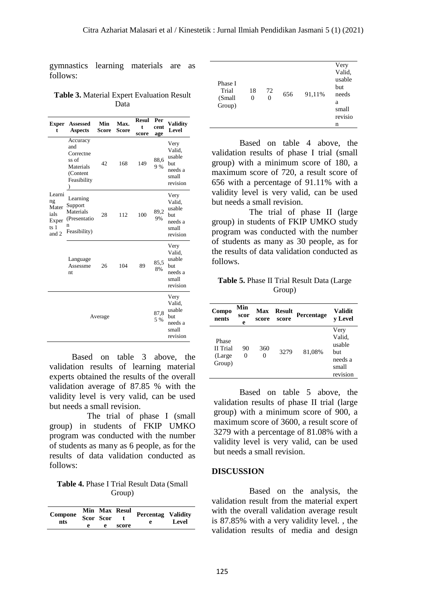gymnastics learning materials are as follows:

**Table 3.** Material Expert Evaluation Result Data

| <b>Exper</b><br>t                                         | <b>Assessed</b><br><b>Aspects</b>                                             | Min<br>Score | Max.<br>Score | <b>Resul</b><br>t<br>score | Per<br>cent<br>age | <b>Validity</b><br>Level                                               |
|-----------------------------------------------------------|-------------------------------------------------------------------------------|--------------|---------------|----------------------------|--------------------|------------------------------------------------------------------------|
| Learni<br>ng<br>Mater<br>ials<br>Exper<br>ts $1$<br>and 2 | Accuracy<br>and<br>Correctne<br>ss of<br>Materials<br>(Content<br>Feasibility | 42           | 168           | 149                        | 88,6<br>9%         | Very<br>Valid,<br>usable<br>but<br>needs a<br>small<br>revision        |
|                                                           | Learning<br>Support<br>Materials<br>(Presentatio)<br>n<br>Feasibility)        | 28           | 112           | 100                        | 89,2<br>9%         | Very<br>Valid.<br>usable<br>but<br>needs a<br>small<br>revision        |
|                                                           | Language<br>Assessme<br>nt                                                    | 26           | 104           | 89                         | 85,5<br>8%         | Very<br>Valid,<br>usable<br>but<br>needs a<br>small<br>revision        |
| 87,8<br>Average<br>5 %                                    |                                                                               |              |               |                            |                    | Very<br>Valid.<br>usable<br><b>but</b><br>needs a<br>small<br>revision |

Based on table 3 above, the validation results of learning material experts obtained the results of the overall validation average of 87.85 % with the validity level is very valid, can be used but needs a small revision.

The trial of phase I (small group) in students of FKIP UMKO program was conducted with the number of students as many as 6 people, as for the results of data validation conducted as follows:

**Table 4.** Phase I Trial Result Data (Small Group)

| Compone<br>nts |   | Scor Scor | Min Max Resul | <b>Percentag Validity</b><br>e | Level |
|----------------|---|-----------|---------------|--------------------------------|-------|
|                | е | e         | score         |                                |       |

|         |    |    |     |        | Very    |
|---------|----|----|-----|--------|---------|
|         |    |    |     |        | Valid.  |
| Phase I |    |    |     |        | usable  |
| Trial   |    |    |     |        | but     |
|         | 18 | 72 | 656 | 91,11% | needs   |
| (Small  | 0  | 0  |     |        | a       |
| Group)  |    |    |     |        | small   |
|         |    |    |     |        | revisio |
|         |    |    |     |        | n       |
|         |    |    |     |        |         |

Based on table 4 above, the validation results of phase I trial (small group) with a minimum score of 180, a maximum score of 720, a result score of 656 with a percentage of 91.11% with a validity level is very valid, can be used but needs a small revision.

The trial of phase II (large group) in students of FKIP UMKO study program was conducted with the number of students as many as 30 people, as for the results of data validation conducted as follows.

**Table 5.** Phase II Trial Result Data (Large Group)

| Compo<br>nents                         | Min<br>scor<br>e | Max<br>score | <b>Result</b><br>score | Percentage | <b>Validit</b><br>v Level                                       |
|----------------------------------------|------------------|--------------|------------------------|------------|-----------------------------------------------------------------|
| Phase<br>II Trial<br>(Large)<br>Group) | 90<br>0          | 360          | 3279                   | 81,08%     | Very<br>Valid,<br>usable<br>but<br>needs a<br>small<br>revision |

Based on table 5 above, the validation results of phase II trial (large group) with a minimum score of 900, a maximum score of 3600, a result score of 3279 with a percentage of 81.08% with a validity level is very valid, can be used but needs a small revision.

#### **DISCUSSION**

Based on the analysis, the validation result from the material expert with the overall validation average result is 87.85% with a very validity level. , the validation results of media and design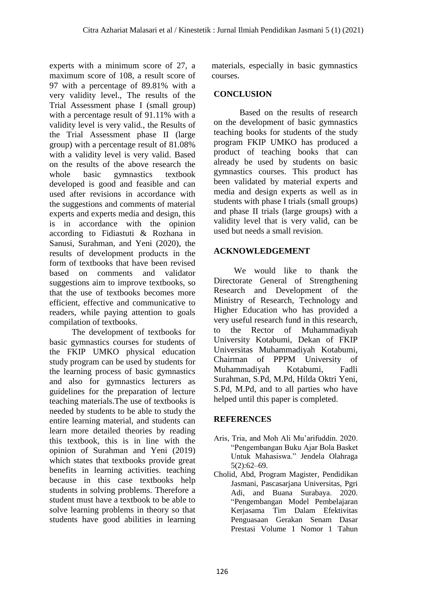experts with a minimum score of 27, a maximum score of 108, a result score of 97 with a percentage of 89.81% with a very validity level., The results of the Trial Assessment phase I (small group) with a percentage result of 91.11% with a validity level is very valid., the Results of the Trial Assessment phase II (large group) with a percentage result of 81.08% with a validity level is very valid. Based on the results of the above research the whole basic gymnastics textbook developed is good and feasible and can used after revisions in accordance with the suggestions and comments of material experts and experts media and design, this is in accordance with the opinion according to Fidiastuti & Rozhana in Sanusi, Surahman, and Yeni (2020), the results of development products in the form of textbooks that have been revised based on comments and validator suggestions aim to improve textbooks, so that the use of textbooks becomes more efficient, effective and communicative to readers, while paying attention to goals compilation of textbooks.

The development of textbooks for basic gymnastics courses for students of the FKIP UMKO physical education study program can be used by students for the learning process of basic gymnastics and also for gymnastics lecturers as guidelines for the preparation of lecture teaching materials.The use of textbooks is needed by students to be able to study the entire learning material, and students can learn more detailed theories by reading this textbook, this is in line with the opinion of Surahman and Yeni (2019) which states that textbooks provide great benefits in learning activities. teaching because in this case textbooks help students in solving problems. Therefore a student must have a textbook to be able to solve learning problems in theory so that students have good abilities in learning

materials, especially in basic gymnastics courses.

## **CONCLUSION**

Based on the results of research on the development of basic gymnastics teaching books for students of the study program FKIP UMKO has produced a product of teaching books that can already be used by students on basic gymnastics courses. This product has been validated by material experts and media and design experts as well as in students with phase I trials (small groups) and phase II trials (large groups) with a validity level that is very valid, can be used but needs a small revision.

### **ACKNOWLEDGEMENT**

We would like to thank the Directorate General of Strengthening Research and Development of the Ministry of Research, Technology and Higher Education who has provided a very useful research fund in this research, to the Rector of Muhammadiyah University Kotabumi, Dekan of FKIP Universitas Muhammadiyah Kotabumi, Chairman of PPPM University of Muhammadiyah Kotabumi, Fadli Surahman, S.Pd, M.Pd, Hilda Oktri Yeni, S.Pd, M.Pd, and to all parties who have helped until this paper is completed.

### **REFERENCES**

- Aris, Tria, and Moh Ali Mu'arifuddin. 2020. "Pengembangan Buku Ajar Bola Basket Untuk Mahasiswa." Jendela Olahraga 5(2):62–69.
- Cholid, Abd, Program Magister, Pendidikan Jasmani, Pascasarjana Universitas, Pgri Adi, and Buana Surabaya. 2020. "Pengembangan Model Pembelajaran Kerjasama Tim Dalam Efektivitas Penguasaan Gerakan Senam Dasar Prestasi Volume 1 Nomor 1 Tahun